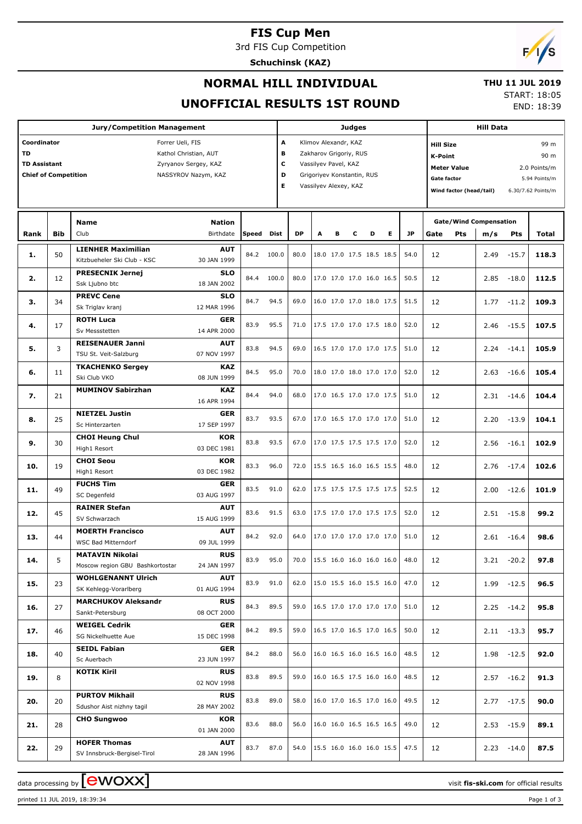## **FIS Cup Men**

3rd FIS Cup Competition

**Schuchinsk (KAZ)**



### **NORMAL HILL INDIVIDUAL**

### **THU 11 JUL 2019** START: 18:05

END: 18:39

# **UNOFFICIAL RESULTS 1ST ROUND**

|                                                                                                                                                                            |            | <b>Jury/Competition Management</b>                           |                           |            |       |           |                                                                                                                                                        |   | Judges |                            |   |           |      |                                                                                                                                                                                  | <b>Hill Data</b>              |               |       |
|----------------------------------------------------------------------------------------------------------------------------------------------------------------------------|------------|--------------------------------------------------------------|---------------------------|------------|-------|-----------|--------------------------------------------------------------------------------------------------------------------------------------------------------|---|--------|----------------------------|---|-----------|------|----------------------------------------------------------------------------------------------------------------------------------------------------------------------------------|-------------------------------|---------------|-------|
| Coordinator<br>Forrer Ueli, FIS<br><b>TD</b><br>Kathol Christian, AUT<br><b>TD Assistant</b><br>Zyryanov Sergey, KAZ<br><b>Chief of Competition</b><br>NASSYROV Nazym, KAZ |            |                                                              |                           |            |       |           | A<br>Klimov Alexandr, KAZ<br>в<br>Zakharov Grigoriy, RUS<br>с<br>Vassilyev Pavel, KAZ<br>D<br>Grigoriyev Konstantin, RUS<br>Е<br>Vassilyev Alexey, KAZ |   |        |                            |   |           |      | <b>Hill Size</b><br>99 m<br>90 m<br><b>K-Point</b><br><b>Meter Value</b><br>2.0 Points/m<br><b>Gate factor</b><br>5.94 Points/m<br>Wind factor (head/tail)<br>6.30/7.62 Points/m |                               |               |       |
|                                                                                                                                                                            |            | <b>Name</b>                                                  | <b>Nation</b>             |            |       |           |                                                                                                                                                        |   |        |                            |   |           |      |                                                                                                                                                                                  | <b>Gate/Wind Compensation</b> |               |       |
| Rank                                                                                                                                                                       | <b>Bib</b> | Club                                                         | Birthdate                 | Speed Dist |       | <b>DP</b> | A                                                                                                                                                      | в | c      | D                          | Е | <b>JP</b> | Gate | Pts                                                                                                                                                                              | m/s                           | Pts           | Total |
| 1.                                                                                                                                                                         | 50         | <b>LIENHER Maximilian</b><br>Kitzbueheler Ski Club - KSC     | AUT<br>30 JAN 1999        | 84.2       | 100.0 | 80.0      |                                                                                                                                                        |   |        | 18.0 17.0 17.5 18.5 18.5   |   | 54.0      | 12   |                                                                                                                                                                                  | 2.49                          | $-15.7$       | 118.3 |
| 2.                                                                                                                                                                         | 12         | <b>PRESECNIK Jernej</b><br>Ssk Ljubno btc                    | <b>SLO</b><br>18 JAN 2002 | 84.4       | 100.0 | 80.0      |                                                                                                                                                        |   |        | 17.0 17.0 17.0 16.0 16.5   |   | 50.5      | 12   |                                                                                                                                                                                  | 2.85                          | $-18.0$       | 112.5 |
| з.                                                                                                                                                                         | 34         | <b>PREVC Cene</b><br>Sk Triglav kranj                        | <b>SLO</b><br>12 MAR 1996 | 84.7       | 94.5  | 69.0      |                                                                                                                                                        |   |        | 16.0 17.0 17.0 18.0 17.5   |   | 51.5      | 12   |                                                                                                                                                                                  | 1.77                          | $-11.2$       | 109.3 |
| 4.                                                                                                                                                                         | 17         | <b>ROTH Luca</b><br>Sv Messstetten                           | GER<br>14 APR 2000        | 83.9       | 95.5  | 71.0      |                                                                                                                                                        |   |        | 17.5 17.0 17.0 17.5 18.0   |   | 52.0      | 12   |                                                                                                                                                                                  | 2.46                          | $-15.5$       | 107.5 |
| 5.                                                                                                                                                                         | 3          | <b>REISENAUER Janni</b><br>TSU St. Veit-Salzburg             | AUT<br>07 NOV 1997        | 83.8       | 94.5  | 69.0      |                                                                                                                                                        |   |        | 16.5 17.0 17.0 17.0 17.5   |   | 51.0      | 12   |                                                                                                                                                                                  | 2.24                          | $-14.1$       | 105.9 |
| 6.                                                                                                                                                                         | 11         | <b>TKACHENKO Sergey</b><br>Ski Club VKO                      | <b>KAZ</b><br>08 JUN 1999 | 84.5       | 95.0  | 70.0      |                                                                                                                                                        |   |        | 18.0 17.0 18.0 17.0 17.0   |   | 52.0      | 12   |                                                                                                                                                                                  | 2.63                          | $-16.6$       | 105.4 |
| 7.                                                                                                                                                                         | 21         | <b>MUMINOV Sabirzhan</b>                                     | <b>KAZ</b><br>16 APR 1994 | 84.4       | 94.0  | 68.0      |                                                                                                                                                        |   |        | 17.0 16.5 17.0 17.0 17.5   |   | 51.0      | 12   |                                                                                                                                                                                  | 2.31                          | $-14.6$       | 104.4 |
| 8.                                                                                                                                                                         | 25         | <b>NIETZEL Justin</b><br>Sc Hinterzarten                     | GER<br>17 SEP 1997        | 83.7       | 93.5  | 67.0      |                                                                                                                                                        |   |        | 17.0 16.5 17.0 17.0 17.0   |   | 51.0      | 12   |                                                                                                                                                                                  | 2.20                          | $-13.9$       | 104.1 |
| 9.                                                                                                                                                                         | 30         | <b>CHOI Heung Chul</b><br>High1 Resort                       | <b>KOR</b><br>03 DEC 1981 | 83.8       | 93.5  | 67.0      |                                                                                                                                                        |   |        | 17.0 17.5 17.5 17.5 17.0   |   | 52.0      | 12   |                                                                                                                                                                                  | 2.56                          | $-16.1$       | 102.9 |
| 10.                                                                                                                                                                        | 19         | <b>CHOI Seou</b><br>High1 Resort                             | <b>KOR</b><br>03 DEC 1982 | 83.3       | 96.0  | 72.0      |                                                                                                                                                        |   |        | 15.5 16.5 16.0 16.5 15.5   |   | 48.0      | 12   |                                                                                                                                                                                  | 2.76                          | $-17.4$       | 102.6 |
| 11.                                                                                                                                                                        | 49         | <b>FUCHS Tim</b><br>SC Degenfeld                             | <b>GER</b><br>03 AUG 1997 | 83.5       | 91.0  | 62.0      |                                                                                                                                                        |   |        | 17.5 17.5 17.5 17.5 17.5   |   | 52.5      | 12   |                                                                                                                                                                                  | 2.00                          | $-12.6$       | 101.9 |
| 12.                                                                                                                                                                        | 45         | <b>RAINER Stefan</b><br>SV Schwarzach                        | AUT<br>15 AUG 1999        | 83.6       | 91.5  | 63.0      |                                                                                                                                                        |   |        | 17.5 17.0 17.0 17.5 17.5   |   | 52.0      | 12   |                                                                                                                                                                                  | 2.51                          | $-15.8$       | 99.2  |
| 13.                                                                                                                                                                        | 44         | <b>MOERTH Francisco</b><br><b>WSC Bad Mitterndorf</b>        | AUT<br>09 JUL 1999        | 84.2       | 92.0  | 64.0      |                                                                                                                                                        |   |        | 17.0 17.0 17.0 17.0 17.0   |   | 51.0      | 12   |                                                                                                                                                                                  | 2.61                          | $-16.4$       | 98.6  |
| 14.                                                                                                                                                                        |            | <b>MATAVIN Nikolai</b>                                       | <b>RUS</b>                | 83.9       | 95.0  | 70.0      |                                                                                                                                                        |   |        | $15.5$ 16.0 16.0 16.0 16.0 |   | 48.0      | 12   |                                                                                                                                                                                  |                               | $3.21 - 20.2$ | 97.8  |
| 15.                                                                                                                                                                        | 23         | Moscow region GBU Bashkortostar<br><b>WOHLGENANNT Ulrich</b> | 24 JAN 1997<br><b>AUT</b> | 83.9       | 91.0  | 62.0      |                                                                                                                                                        |   |        | 15.0 15.5 16.0 15.5 16.0   |   | 47.0      | 12   |                                                                                                                                                                                  | 1.99                          | $-12.5$       | 96.5  |
| 16.                                                                                                                                                                        | 27         | SK Kehlegg-Vorarlberg<br><b>MARCHUKOV Aleksandr</b>          | 01 AUG 1994<br><b>RUS</b> | 84.3       | 89.5  | 59.0      |                                                                                                                                                        |   |        | 16.5 17.0 17.0 17.0 17.0   |   | 51.0      | 12   |                                                                                                                                                                                  | 2.25                          | $-14.2$       | 95.8  |
| 17.                                                                                                                                                                        | 46         | Sankt-Petersburg<br><b>WEIGEL Cedrik</b>                     | 08 OCT 2000<br><b>GER</b> | 84.2       | 89.5  | 59.0      |                                                                                                                                                        |   |        | 16.5 17.0 16.5 17.0 16.5   |   | 50.0      | 12   |                                                                                                                                                                                  |                               | $2.11 - 13.3$ | 95.7  |
| 18.                                                                                                                                                                        | 40         | SG Nickelhuette Aue<br><b>SEIDL Fabian</b>                   | 15 DEC 1998<br><b>GER</b> | 84.2       | 88.0  | 56.0      |                                                                                                                                                        |   |        | 16.0 16.5 16.0 16.5 16.0   |   | 48.5      | 12   |                                                                                                                                                                                  |                               | $1.98 - 12.5$ | 92.0  |
| 19.                                                                                                                                                                        | 8          | Sc Auerbach<br><b>KOTIK Kiril</b>                            | 23 JUN 1997<br><b>RUS</b> | 83.8       | 89.5  | 59.0      |                                                                                                                                                        |   |        | 16.0 16.5 17.5 16.0 16.0   |   | 48.5      | 12   |                                                                                                                                                                                  | 2.57                          | $-16.2$       | 91.3  |
|                                                                                                                                                                            |            | <b>PURTOV Mikhail</b>                                        | 02 NOV 1998<br><b>RUS</b> | 83.8       | 89.0  | 58.0      |                                                                                                                                                        |   |        | 16.0 17.0 16.5 17.0 16.0   |   | 49.5      |      |                                                                                                                                                                                  |                               |               |       |
| 20.                                                                                                                                                                        | 20         | Sdushor Aist nizhny tagil                                    | 28 MAY 2002               |            |       |           |                                                                                                                                                        |   |        |                            |   |           | 12   |                                                                                                                                                                                  | 2.77                          | $-17.5$       | 90.0  |
| 21.                                                                                                                                                                        | 28         | <b>CHO Sungwoo</b>                                           | <b>KOR</b><br>01 JAN 2000 | 83.6       | 88.0  | 56.0      |                                                                                                                                                        |   |        | 16.0 16.0 16.5 16.5 16.5   |   | 49.0      | 12   |                                                                                                                                                                                  |                               | $2.53 - 15.9$ | 89.1  |
| 22.                                                                                                                                                                        | 29         | <b>HOFER Thomas</b><br>SV Innsbruck-Bergisel-Tirol           | <b>AUT</b><br>28 JAN 1996 | 83.7       | 87.0  | 54.0      |                                                                                                                                                        |   |        | 15.5 16.0 16.0 16.0 15.5   |   | 47.5      | 12   |                                                                                                                                                                                  |                               | $2.23 - 14.0$ | 87.5  |

printed 11 JUL 2019, 18:39:34 Page 1 of 3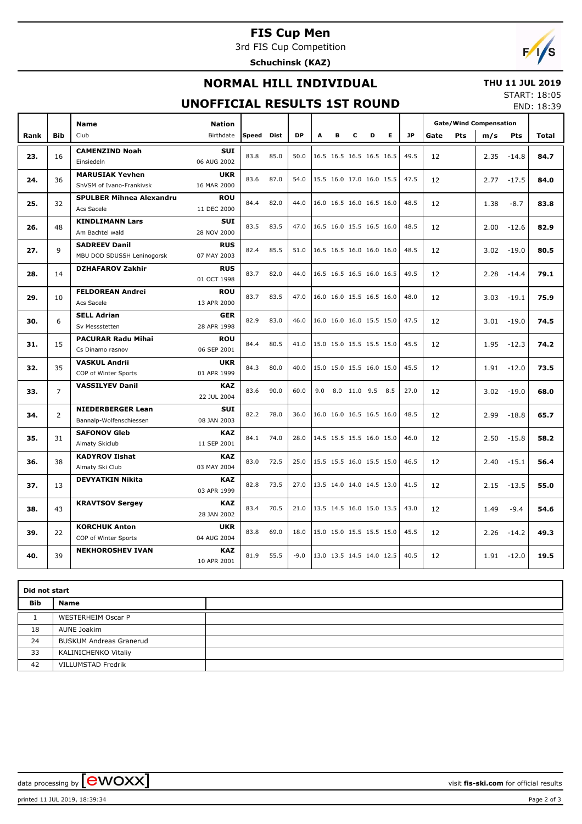# **FIS Cup Men**

3rd FIS Cup Competition

**Schuchinsk (KAZ)**



### **NORMAL HILL INDIVIDUAL**

### **THU 11 JUL 2019**

### **UNOFFICIAL RESULTS 1ST ROUND**

START: 18:05 END: 18:39

|      |                | <b>Name</b>                     | <b>Nation</b>             |       |             |           |                          |                          |   |                          |                          |           |      | <b>Gate/Wind Compensation</b><br>Pts<br>m/s<br>Pts<br>2.35<br>$-14.8$<br>$-17.5$<br>2.77<br>$-8.7$<br>1.38<br>2.00<br>$-12.6$<br>$-19.0$<br>3.02<br>2.28<br>$-14.4$<br>3.03<br>$-19.1$<br>3.01<br>$-19.0$<br>1.95<br>$-12.3$<br>1.91<br>$-12.0$<br>3.02<br>$-19.0$<br>2.99<br>$-18.8$<br>2.50<br>$-15.8$<br>2.40<br>$-15.1$<br>2.15<br>$-13.5$<br>$-9.4$<br>1.49 |      |               |                                                                                                                                      |
|------|----------------|---------------------------------|---------------------------|-------|-------------|-----------|--------------------------|--------------------------|---|--------------------------|--------------------------|-----------|------|------------------------------------------------------------------------------------------------------------------------------------------------------------------------------------------------------------------------------------------------------------------------------------------------------------------------------------------------------------------|------|---------------|--------------------------------------------------------------------------------------------------------------------------------------|
| Rank | <b>Bib</b>     | Club                            | Birthdate                 | Speed | <b>Dist</b> | <b>DP</b> | A                        | в                        | c | D                        | E.                       | <b>JP</b> | Gate |                                                                                                                                                                                                                                                                                                                                                                  |      |               | Total                                                                                                                                |
| 23.  | 16             | <b>CAMENZIND Noah</b>           | <b>SUI</b>                | 83.8  | 85.0        | 50.0      |                          | 16.5 16.5 16.5 16.5 16.5 |   |                          |                          | 49.5      | 12   |                                                                                                                                                                                                                                                                                                                                                                  |      |               |                                                                                                                                      |
|      |                | Einsiedeln                      | 06 AUG 2002               |       |             |           |                          |                          |   |                          |                          |           |      |                                                                                                                                                                                                                                                                                                                                                                  |      |               | 84.7<br>84.0<br>83.8<br>82.9<br>80.5<br>79.1<br>75.9<br>74.5<br>74.2<br>73.5<br>68.0<br>65.7<br>58.2<br>56.4<br>55.0<br>54.6<br>49.3 |
| 24.  | 36             | <b>MARUSIAK Yevhen</b>          | <b>UKR</b>                | 83.6  | 87.0        | 54.0      |                          | 15.5 16.0 17.0 16.0 15.5 |   |                          |                          | 47.5      | 12   |                                                                                                                                                                                                                                                                                                                                                                  |      |               |                                                                                                                                      |
|      |                | ShVSM of Ivano-Frankivsk        | 16 MAR 2000               |       |             |           |                          |                          |   |                          |                          |           |      |                                                                                                                                                                                                                                                                                                                                                                  |      |               |                                                                                                                                      |
| 25.  | 32             | <b>SPULBER Mihnea Alexandru</b> | <b>ROU</b>                | 84.4  | 82.0        | 44.0      |                          | 16.0 16.5 16.0 16.5 16.0 |   |                          |                          | 48.5      | 12   |                                                                                                                                                                                                                                                                                                                                                                  |      |               |                                                                                                                                      |
|      |                | Acs Sacele                      | 11 DEC 2000               |       |             |           |                          |                          |   |                          |                          |           |      |                                                                                                                                                                                                                                                                                                                                                                  |      |               |                                                                                                                                      |
| 26.  | 48             | <b>KINDLIMANN Lars</b>          | <b>SUI</b>                | 83.5  | 83.5        | 47.0      |                          |                          |   | 16.5 16.0 15.5 16.5 16.0 |                          | 48.5      | 12   |                                                                                                                                                                                                                                                                                                                                                                  |      |               |                                                                                                                                      |
|      |                | Am Bachtel wald                 | 28 NOV 2000               |       |             |           |                          |                          |   |                          |                          |           |      |                                                                                                                                                                                                                                                                                                                                                                  |      |               |                                                                                                                                      |
| 27.  | 9              | <b>SADREEV Danil</b>            | <b>RUS</b>                | 82.4  | 85.5        | 51.0      |                          | 16.5 16.5 16.0 16.0 16.0 |   |                          |                          | 48.5      | 12   |                                                                                                                                                                                                                                                                                                                                                                  |      |               |                                                                                                                                      |
|      |                | MBU DOD SDUSSH Leninogorsk      | 07 MAY 2003               |       |             |           |                          |                          |   |                          |                          |           |      |                                                                                                                                                                                                                                                                                                                                                                  |      |               |                                                                                                                                      |
| 28.  | 14             | <b>DZHAFAROV Zakhir</b>         | <b>RUS</b>                | 83.7  | 82.0        | 44.0      |                          | 16.5 16.5 16.5 16.0 16.5 |   |                          |                          | 49.5      | 12   |                                                                                                                                                                                                                                                                                                                                                                  |      |               |                                                                                                                                      |
|      |                |                                 | 01 OCT 1998               |       |             |           |                          |                          |   |                          |                          |           |      |                                                                                                                                                                                                                                                                                                                                                                  |      |               |                                                                                                                                      |
| 29.  | 10             | <b>FELDOREAN Andrei</b>         | <b>ROU</b>                | 83.7  | 83.5        | 47.0      |                          | 16.0 16.0 15.5 16.5 16.0 |   |                          |                          | 48.0      | 12   |                                                                                                                                                                                                                                                                                                                                                                  |      |               |                                                                                                                                      |
|      |                | Acs Sacele                      | 13 APR 2000               |       |             |           |                          |                          |   |                          |                          |           |      |                                                                                                                                                                                                                                                                                                                                                                  |      |               |                                                                                                                                      |
| 30.  | 6              | <b>SELL Adrian</b>              | <b>GER</b>                | 82.9  | 83.0        | 46.0      |                          | 16.0 16.0 16.0 15.5 15.0 |   |                          |                          | 47.5      | 12   |                                                                                                                                                                                                                                                                                                                                                                  |      |               |                                                                                                                                      |
|      |                | Sv Messstetten                  | 28 APR 1998               |       |             |           |                          |                          |   |                          |                          |           |      |                                                                                                                                                                                                                                                                                                                                                                  |      |               |                                                                                                                                      |
| 31.  | 15             | <b>PACURAR Radu Mihai</b>       | <b>ROU</b>                | 84.4  | 80.5        | 41.0      | 15.0 15.0 15.5 15.5 15.0 |                          |   |                          |                          | 45.5      | 12   |                                                                                                                                                                                                                                                                                                                                                                  |      |               |                                                                                                                                      |
|      |                | Cs Dinamo rasnov                | 06 SEP 2001               |       |             |           |                          |                          |   |                          |                          |           |      |                                                                                                                                                                                                                                                                                                                                                                  |      |               |                                                                                                                                      |
| 32.  | 35             | <b>VASKUL Andrii</b>            | <b>UKR</b>                | 84.3  | 80.0        | 40.0      |                          | 15.0 15.0 15.5 16.0 15.0 |   |                          |                          | 45.5      | 12   |                                                                                                                                                                                                                                                                                                                                                                  |      |               |                                                                                                                                      |
|      |                | COP of Winter Sports            | 01 APR 1999               |       |             |           |                          |                          |   |                          |                          |           |      |                                                                                                                                                                                                                                                                                                                                                                  |      |               |                                                                                                                                      |
| 33.  | $\overline{7}$ | <b>VASSILYEV Danil</b>          | <b>KAZ</b>                | 83.6  | 90.0        | 60.0      | 9.0                      |                          |   | 8.0 11.0 9.5 8.5         |                          | 27.0      | 12   |                                                                                                                                                                                                                                                                                                                                                                  |      |               |                                                                                                                                      |
|      |                |                                 | 22 JUL 2004               |       |             |           |                          |                          |   |                          |                          |           |      |                                                                                                                                                                                                                                                                                                                                                                  |      |               |                                                                                                                                      |
| 34.  | $\overline{2}$ | <b>NIEDERBERGER Lean</b>        | <b>SUI</b>                | 82.2  | 78.0        | 36.0      |                          | 16.0 16.0 16.5 16.5 16.0 |   |                          |                          | 48.5      | 12   |                                                                                                                                                                                                                                                                                                                                                                  |      |               |                                                                                                                                      |
|      |                | Bannalp-Wolfenschiessen         | 08 JAN 2003               |       |             |           |                          |                          |   |                          |                          |           |      |                                                                                                                                                                                                                                                                                                                                                                  |      |               |                                                                                                                                      |
| 35.  | 31             | <b>SAFONOV Gleb</b>             | <b>KAZ</b>                | 84.1  | 74.0        | 28.0      |                          | 14.5 15.5 15.5 16.0 15.0 |   |                          |                          | 46.0      | 12   |                                                                                                                                                                                                                                                                                                                                                                  |      |               |                                                                                                                                      |
|      |                | Almaty Skiclub                  | 11 SEP 2001               |       |             |           |                          |                          |   |                          |                          |           |      |                                                                                                                                                                                                                                                                                                                                                                  |      |               |                                                                                                                                      |
| 36.  | 38             | <b>KADYROV Ilshat</b>           | <b>KAZ</b><br>03 MAY 2004 | 83.0  | 72.5        | 25.0      |                          | 15.5 15.5 16.0 15.5 15.0 |   |                          |                          | 46.5      | 12   |                                                                                                                                                                                                                                                                                                                                                                  |      |               |                                                                                                                                      |
|      |                | Almaty Ski Club                 |                           |       |             |           |                          |                          |   |                          |                          |           |      |                                                                                                                                                                                                                                                                                                                                                                  |      |               |                                                                                                                                      |
| 37.  | 13             | <b>DEVYATKIN Nikita</b>         | <b>KAZ</b><br>03 APR 1999 | 82.8  | 73.5        | 27.0      |                          | 13.5 14.0 14.0 14.5 13.0 |   |                          |                          | 41.5      | 12   |                                                                                                                                                                                                                                                                                                                                                                  |      |               |                                                                                                                                      |
|      |                |                                 |                           |       |             |           |                          |                          |   |                          |                          |           |      |                                                                                                                                                                                                                                                                                                                                                                  |      |               |                                                                                                                                      |
| 38.  | 43             | <b>KRAVTSOV Sergey</b>          | <b>KAZ</b><br>28 JAN 2002 | 83.4  | 70.5        | 21.0      |                          | 13.5 14.5 16.0 15.0 13.5 |   |                          |                          | 43.0      | 12   |                                                                                                                                                                                                                                                                                                                                                                  |      |               |                                                                                                                                      |
|      |                | <b>KORCHUK Anton</b>            | <b>UKR</b>                |       |             |           |                          |                          |   |                          | 15.0 15.0 15.5 15.5 15.0 | 45.5      | 12   |                                                                                                                                                                                                                                                                                                                                                                  |      |               |                                                                                                                                      |
| 39.  | 22             | COP of Winter Sports            | 04 AUG 2004               | 83.8  | 69.0        | 18.0      |                          |                          |   |                          |                          |           |      |                                                                                                                                                                                                                                                                                                                                                                  | 2.26 | $-14.2$       |                                                                                                                                      |
| 40.  | 39             | <b>NEKHOROSHEV IVAN</b>         | <b>KAZ</b><br>10 APR 2001 | 81.9  | 55.5        | $-9.0$    |                          | 13.0 13.5 14.5 14.0 12.5 |   |                          |                          | 40.5      | 12   |                                                                                                                                                                                                                                                                                                                                                                  |      | $1.91 - 12.0$ | 19.5                                                                                                                                 |

| Did not start |                                |  |  |  |  |  |  |  |
|---------------|--------------------------------|--|--|--|--|--|--|--|
| Bib           | <b>Name</b>                    |  |  |  |  |  |  |  |
|               | <b>WESTERHEIM Oscar P</b>      |  |  |  |  |  |  |  |
| 18            | AUNE Joakim                    |  |  |  |  |  |  |  |
| 24            | <b>BUSKUM Andreas Granerud</b> |  |  |  |  |  |  |  |
| 33            | KALINICHENKO Vitaliy           |  |  |  |  |  |  |  |
| 42            | <b>VILLUMSTAD Fredrik</b>      |  |  |  |  |  |  |  |

data processing by **CWOXX**  $\blacksquare$ 

printed 11 JUL 2019, 18:39:34 Page 2 of 3